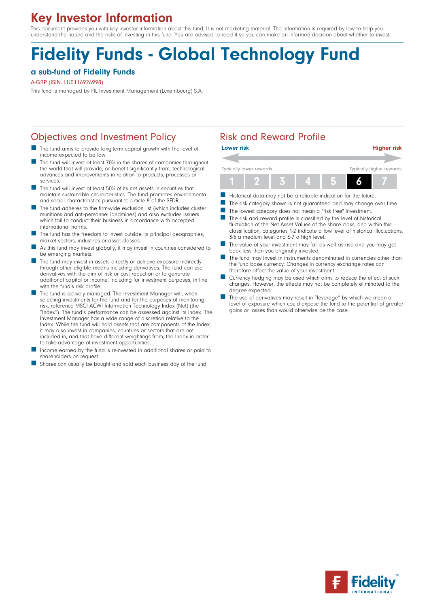# Key Investor Information

This document provides you with key investor information about this fund. It is not marketing material. The information is required by law to help you understand the nature and the risks of investing in this fund. You are advised to read it so you can make an informed decision about whether to invest.

# Fidelity Funds - Global Technology Fund

#### a sub-fund of Fidelity Funds

#### A-GBP (ISIN: LU0116926998)

This fund is managed by FIL Investment Management (Luxembourg) S.A.

## Objectives and Investment Policy **Risk and Reward Profile**

- The fund aims to provide long-term capital growth with the level of income expected to be low.
- The fund will invest at least 70% in the shares of companies throughout the world that will provide, or benefit significantly from, technological advances and improvements in relation to products, processes or services.
- n The fund will invest at least 50% of its net assets in securities that maintain sustainable characteristics. The fund promotes environmental and social characteristics pursuant to article 8 of the SFDR.
- The fund adheres to the firm-wide exclusion list (which includes cluster munitions and anti-personnel landmines) and also excludes issuers which fail to conduct their business in accordance with accepted international norms.
- The fund has the freedom to invest outside its principal geographies, market sectors, industries or asset classes.
- As this fund may invest globally, it may invest in countries considered to be emerging markets.
- The fund may invest in assets directly or achieve exposure indirectly through other eligible means including derivatives. The fund can use derivatives with the aim of risk or cost reduction or to generate additional capital or income, including for investment purposes, in line with the fund's risk profile.
- The fund is actively managed. The Investment Manager will, when selecting investments for the fund and for the purposes of monitoring risk, reference MSCI ACWI Information Technology Index (Net) (the ''Index''). The fund's performance can be assessed against its Index. The Investment Manager has a wide range of discretion relative to the Index. While the fund will hold assets that are components of the Index, it may also invest in companies, countries or sectors that are not included in, and that have different weightings from, the Index in order to take advantage of investment opportunities.
- Income earned by the fund is reinvested in additional shares or paid to shareholders on request.
- Shares can usually be bought and sold each business day of the fund.



- Historical data may not be a reliable indication for the future.
- The risk category shown is not guaranteed and may change over time.
- The lowest category does not mean a "risk free" investment.
- $\blacksquare$  The risk and reward profile is classified by the level of historical fluctuation of the Net Asset Values of the share class, and within this classification, categories 1-2 indicate a low level of historical fluctuations, 3-5 a medium level and 6-7 a high level.
- The value of your investment may fall as well as rise and you may get back less than you originally invested.
- The fund may invest in instruments denominated in currencies other than the fund base currency. Changes in currency exchange rates can therefore affect the value of your investment.
- Currency hedging may be used which aims to reduce the effect of such changes. However, the effects may not be completely eliminated to the degree expected.
- The use of derivatives may result in "leverage" by which we mean a level of exposure which could expose the fund to the potential of greater gains or losses than would otherwise be the case.